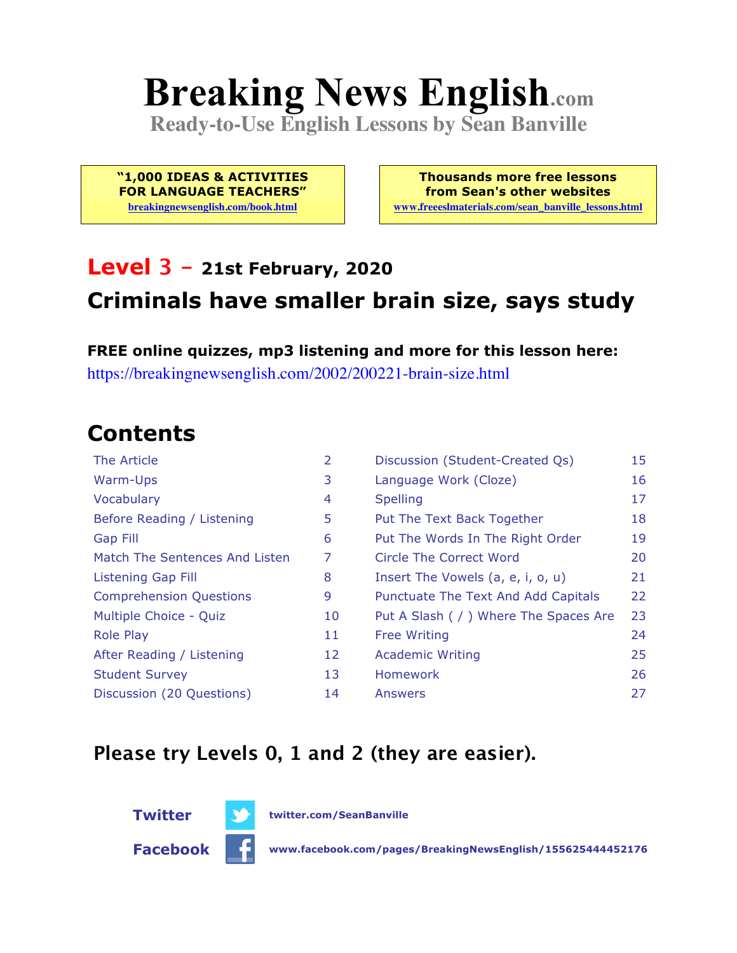# **Breaking News English.com**

**Ready-to-Use English Lessons by Sean Banville**

**"1,000 IDEAS & ACTIVITIES FOR LANGUAGE TEACHERS"**

**breakingnewsenglish.com/book.html**

**Thousands more free lessons from Sean's other websites www.freeeslmaterials.com/sean\_banville\_lessons.html**

### **Level 3 - 21st February, 2020 Criminals have smaller brain size, says study**

**FREE online quizzes, mp3 listening and more for this lesson here:** https://breakingnewsenglish.com/2002/200221-brain-size.html

### **Contents**

| The Article                    | 2  | Discussion (Student-Created Qs)        | 15 |
|--------------------------------|----|----------------------------------------|----|
| Warm-Ups                       | 3  | Language Work (Cloze)                  | 16 |
| Vocabulary                     | 4  | <b>Spelling</b>                        | 17 |
| Before Reading / Listening     | 5  | Put The Text Back Together             | 18 |
| <b>Gap Fill</b>                | 6  | Put The Words In The Right Order       | 19 |
| Match The Sentences And Listen | 7  | Circle The Correct Word                | 20 |
| Listening Gap Fill             | 8  | Insert The Vowels (a, e, i, o, u)      | 21 |
| <b>Comprehension Questions</b> | 9  | Punctuate The Text And Add Capitals    | 22 |
| Multiple Choice - Quiz         | 10 | Put A Slash ( / ) Where The Spaces Are | 23 |
| <b>Role Play</b>               | 11 | <b>Free Writing</b>                    | 24 |
| After Reading / Listening      | 12 | <b>Academic Writing</b>                | 25 |
| <b>Student Survey</b>          | 13 | Homework                               | 26 |
| Discussion (20 Questions)      | 14 | Answers                                | 27 |

#### **Please try Levels 0, 1 and 2 (they are easier).**



**Facebook www.facebook.com/pages/BreakingNewsEnglish/155625444452176**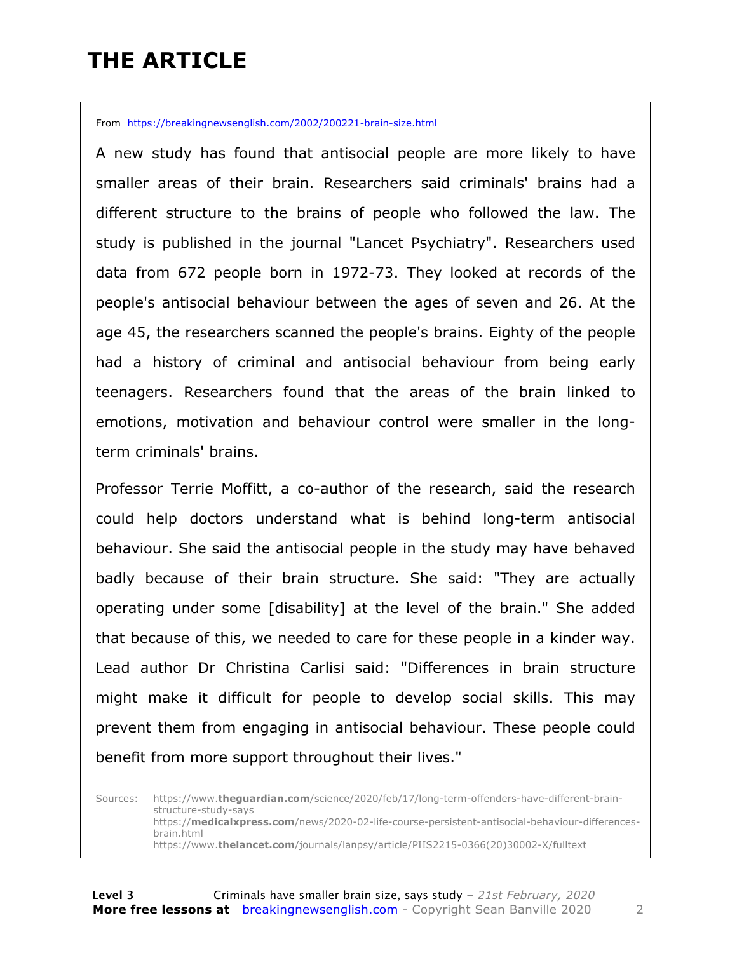### **THE ARTICLE**

From https://breakingnewsenglish.com/2002/200221-brain-size.html

A new study has found that antisocial people are more likely to have smaller areas of their brain. Researchers said criminals' brains had a different structure to the brains of people who followed the law. The study is published in the journal "Lancet Psychiatry". Researchers used data from 672 people born in 1972-73. They looked at records of the people's antisocial behaviour between the ages of seven and 26. At the age 45, the researchers scanned the people's brains. Eighty of the people had a history of criminal and antisocial behaviour from being early teenagers. Researchers found that the areas of the brain linked to emotions, motivation and behaviour control were smaller in the longterm criminals' brains.

Professor Terrie Moffitt, a co-author of the research, said the research could help doctors understand what is behind long-term antisocial behaviour. She said the antisocial people in the study may have behaved badly because of their brain structure. She said: "They are actually operating under some [disability] at the level of the brain." She added that because of this, we needed to care for these people in a kinder way. Lead author Dr Christina Carlisi said: "Differences in brain structure might make it difficult for people to develop social skills. This may prevent them from engaging in antisocial behaviour. These people could benefit from more support throughout their lives."

Sources: https://www.**theguardian.com**/science/2020/feb/17/long-term-offenders-have-different-brainstructure-study-says https://**medicalxpress.com**/news/2020-02-life-course-persistent-antisocial-behaviour-differencesbrain.html https://www.**thelancet.com**/journals/lanpsy/article/PIIS2215-0366(20)30002-X/fulltext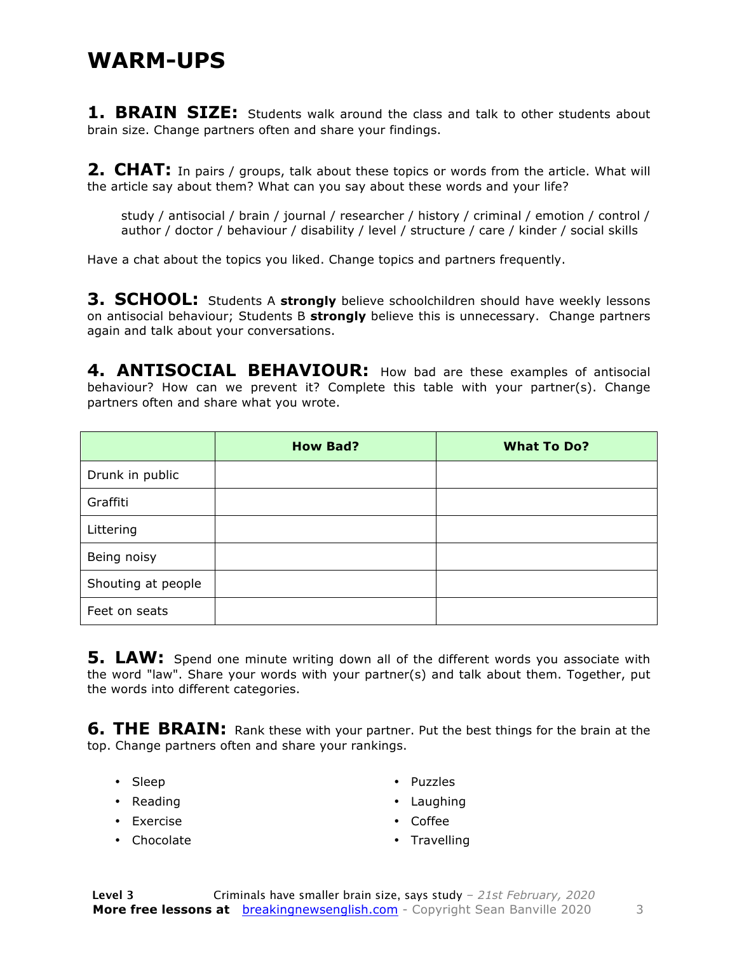#### **WARM-UPS**

**1. BRAIN SIZE:** Students walk around the class and talk to other students about brain size. Change partners often and share your findings.

**2. CHAT:** In pairs / groups, talk about these topics or words from the article. What will the article say about them? What can you say about these words and your life?

study / antisocial / brain / journal / researcher / history / criminal / emotion / control / author / doctor / behaviour / disability / level / structure / care / kinder / social skills

Have a chat about the topics you liked. Change topics and partners frequently.

**3. SCHOOL:** Students A strongly believe schoolchildren should have weekly lessons on antisocial behaviour; Students B **strongly** believe this is unnecessary. Change partners again and talk about your conversations.

**4. ANTISOCIAL BEHAVIOUR:** How bad are these examples of antisocial behaviour? How can we prevent it? Complete this table with your partner(s). Change partners often and share what you wrote.

|                    | <b>How Bad?</b> | <b>What To Do?</b> |
|--------------------|-----------------|--------------------|
| Drunk in public    |                 |                    |
| Graffiti           |                 |                    |
| Littering          |                 |                    |
| Being noisy        |                 |                    |
| Shouting at people |                 |                    |
| Feet on seats      |                 |                    |

**5. LAW:** Spend one minute writing down all of the different words you associate with the word "law". Share your words with your partner(s) and talk about them. Together, put the words into different categories.

**6. THE BRAIN:** Rank these with your partner. Put the best things for the brain at the top. Change partners often and share your rankings.

- Sleep
- Reading
- Exercise
- Chocolate
- Puzzles
- Laughing
- Coffee
- Travelling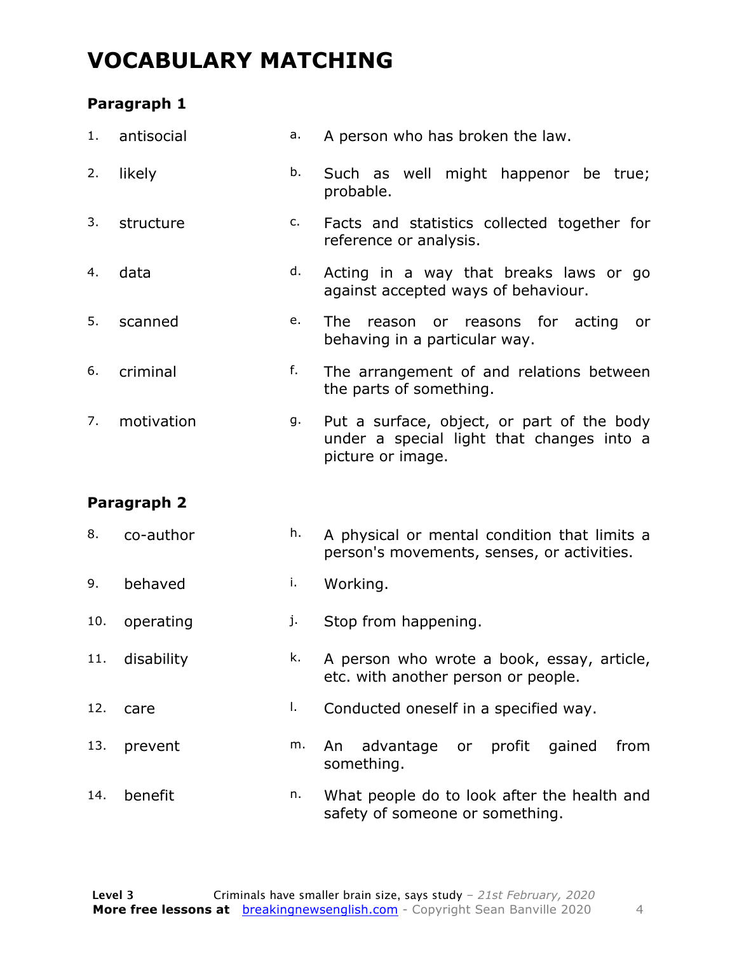#### **VOCABULARY MATCHING**

#### **Paragraph 1**

| 1.  | antisocial  | a. | A person who has broken the law.                                                                             |
|-----|-------------|----|--------------------------------------------------------------------------------------------------------------|
| 2.  | likely      | b. | Such as well might happenor be true;<br>probable.                                                            |
| 3.  | structure   | c. | Facts and statistics collected together for<br>reference or analysis.                                        |
| 4.  | data        | d. | Acting in a way that breaks laws or go<br>against accepted ways of behaviour.                                |
| 5.  | scanned     | e. | <b>The</b><br>reasons for acting<br>reason<br>or<br>or<br>behaving in a particular way.                      |
| 6.  | criminal    | f. | The arrangement of and relations between<br>the parts of something.                                          |
| 7.  | motivation  | g. | Put a surface, object, or part of the body<br>under a special light that changes into a<br>picture or image. |
|     | Paragraph 2 |    |                                                                                                              |
| 8.  | co-author   | h. | A physical or mental condition that limits a<br>person's movements, senses, or activities.                   |
| 9.  | behaved     | i. | Working.                                                                                                     |
| 10. | operating   | j. | Stop from happening.                                                                                         |
| 11. | disability  | k. | A person who wrote a book, essay, article,<br>etc. with another person or people.                            |

- 12. care and l. Conducted oneself in a specified way.
- 13. prevent m. An advantage or profit gained from something.
- 14. benefit n. What people do to look after the health and safety of someone or something.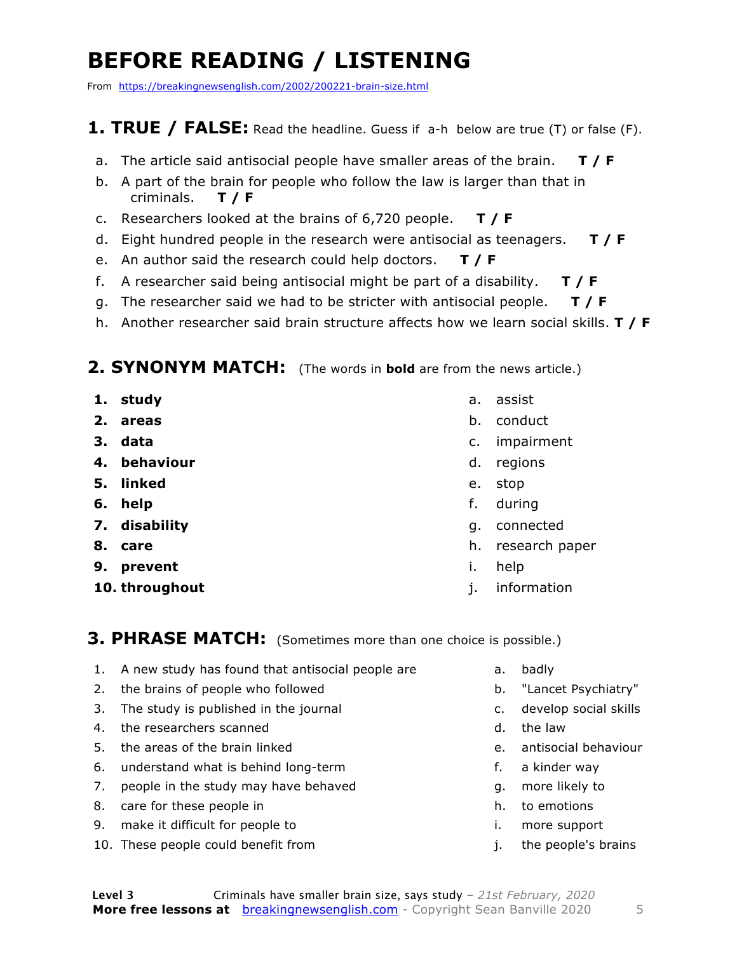### **BEFORE READING / LISTENING**

From https://breakingnewsenglish.com/2002/200221-brain-size.html

#### **1. TRUE / FALSE:** Read the headline. Guess if a-h below are true (T) or false (F).

- a. The article said antisocial people have smaller areas of the brain. **T / F**
- b. A part of the brain for people who follow the law is larger than that in criminals. **T / F**
- c. Researchers looked at the brains of 6,720 people. **T / F**
- d. Eight hundred people in the research were antisocial as teenagers. **T / F**
- e. An author said the research could help doctors. **T / F**
- f. A researcher said being antisocial might be part of a disability. **T / F**
- g. The researcher said we had to be stricter with antisocial people. **T / F**
- h. Another researcher said brain structure affects how we learn social skills. **T / F**

#### **2. SYNONYM MATCH:** (The words in **bold** are from the news article.)

- **1. study**
- **2. areas**
- **3. data**
- **4. behaviour**
- **5. linked**
- **6. help**
- **7. disability**
- **8. care**
- **9. prevent**
- **10. throughout**
- a. assist
- b. conduct
- c. impairment
- d. regions
- e. stop
- f. during
- g. connected
- h. research paper
- i. help
- j. information

**3. PHRASE MATCH:** (Sometimes more than one choice is possible.)

- 1. A new study has found that antisocial people are
- 2. the brains of people who followed
- 3. The study is published in the journal
- 4. the researchers scanned
- 5. the areas of the brain linked
- 6. understand what is behind long-term
- 7. people in the study may have behaved
- 8. care for these people in
- 9. make it difficult for people to
- 10. These people could benefit from
- a. badly
- b. "Lancet Psychiatry"
- c. develop social skills
- d. the law
- e. antisocial behaviour
- f. a kinder way
- g. more likely to
- h. to emotions
- i. more support
- j. the people's brains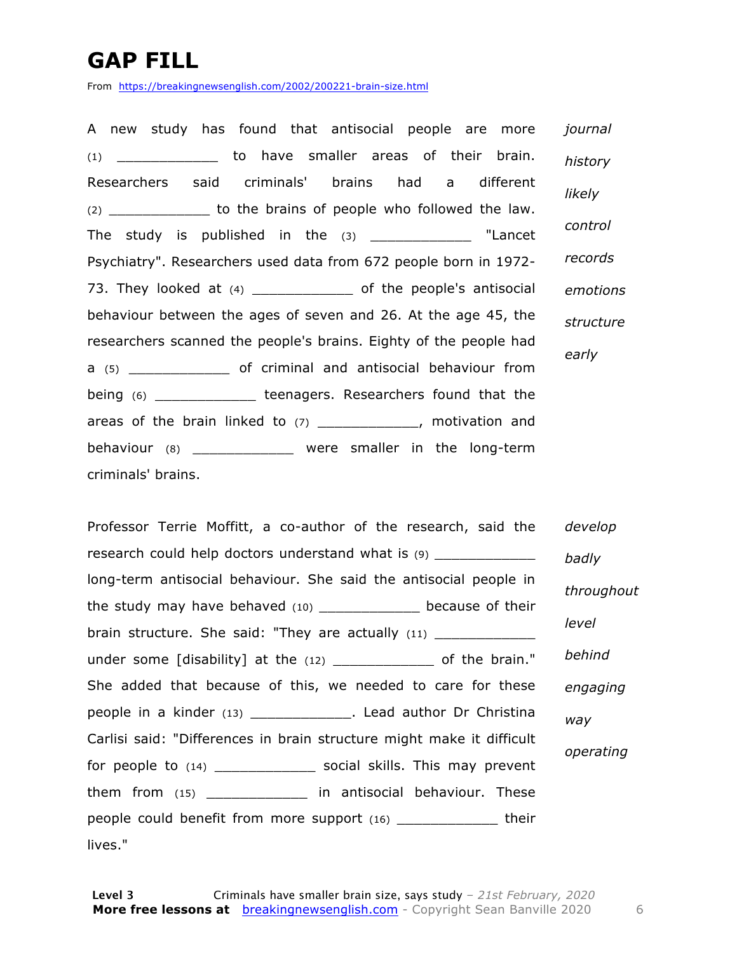### **GAP FILL**

From https://breakingnewsenglish.com/2002/200221-brain-size.html

A new study has found that antisocial people are more (1) \_\_\_\_\_\_\_\_\_\_\_\_ to have smaller areas of their brain. Researchers said criminals' brains had a different (2) \_\_\_\_\_\_\_\_\_\_\_\_ to the brains of people who followed the law. The study is published in the (3) \_\_\_\_\_\_\_\_\_\_\_\_\_ "Lancet Psychiatry". Researchers used data from 672 people born in 1972- 73. They looked at (4) \_\_\_\_\_\_\_\_\_\_\_\_\_\_ of the people's antisocial behaviour between the ages of seven and 26. At the age 45, the researchers scanned the people's brains. Eighty of the people had a (5) \_\_\_\_\_\_\_\_\_\_\_\_ of criminal and antisocial behaviour from being (6) \_\_\_\_\_\_\_\_\_\_\_\_\_\_\_ teenagers. Researchers found that the areas of the brain linked to (7) \_\_\_\_\_\_\_\_\_\_\_\_\_, motivation and behaviour (8) \_\_\_\_\_\_\_\_\_\_\_\_ were smaller in the long-term criminals' brains. *journal history likely control records emotions structure early*

Professor Terrie Moffitt, a co-author of the research, said the research could help doctors understand what is (9) long-term antisocial behaviour. She said the antisocial people in the study may have behaved (10) \_\_\_\_\_\_\_\_\_\_\_\_\_ because of their brain structure. She said: "They are actually (11) \_\_\_\_\_\_\_\_\_\_ under some [disability] at the (12) \_\_\_\_\_\_\_\_\_\_\_\_ of the brain." She added that because of this, we needed to care for these people in a kinder (13) \_\_\_\_\_\_\_\_\_\_\_\_\_\_. Lead author Dr Christina Carlisi said: "Differences in brain structure might make it difficult for people to (14) \_\_\_\_\_\_\_\_\_\_\_\_\_\_ social skills. This may prevent them from (15) \_\_\_\_\_\_\_\_\_\_\_\_ in antisocial behaviour. These people could benefit from more support (16) \_\_\_\_\_\_\_\_\_\_\_\_\_ their lives." *develop badly throughout level behind engaging way operating*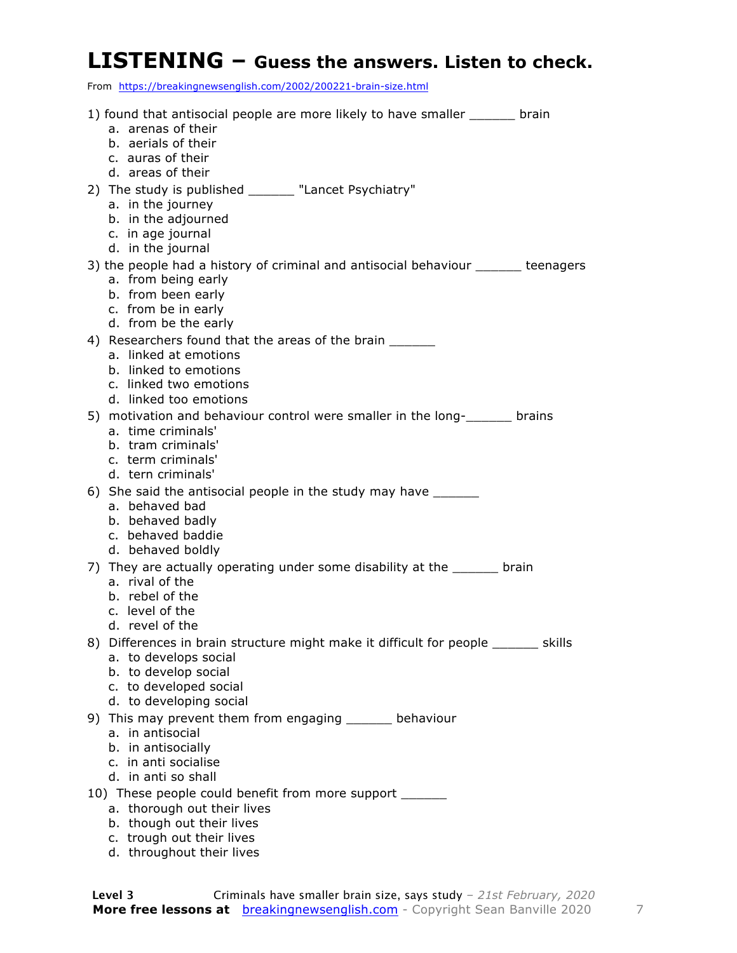#### **LISTENING – Guess the answers. Listen to check.**

From https://breakingnewsenglish.com/2002/200221-brain-size.html

| 1) found that antisocial people are more likely to have smaller _______ brain                                                 |
|-------------------------------------------------------------------------------------------------------------------------------|
| a. arenas of their<br>b. aerials of their                                                                                     |
| c. auras of their                                                                                                             |
| d. areas of their                                                                                                             |
| 2) The study is published _______ "Lancet Psychiatry"                                                                         |
| a. in the journey                                                                                                             |
| b. in the adjourned                                                                                                           |
| c. in age journal<br>d. in the journal                                                                                        |
| 3) the people had a history of criminal and antisocial behaviour ______ teenagers                                             |
| a. from being early                                                                                                           |
| b. from been early                                                                                                            |
| c. from be in early                                                                                                           |
| d. from be the early                                                                                                          |
| 4) Researchers found that the areas of the brain<br>a. linked at emotions                                                     |
| b. linked to emotions                                                                                                         |
| c. linked two emotions                                                                                                        |
| d. linked too emotions                                                                                                        |
| 5) motivation and behaviour control were smaller in the long- station and behaviour control were smaller in the long- station |
| a. time criminals'<br>b. tram criminals'                                                                                      |
| c. term criminals'                                                                                                            |
| d. tern criminals'                                                                                                            |
| 6) She said the antisocial people in the study may have _______                                                               |
| a. behaved bad                                                                                                                |
| b. behaved badly<br>c. behaved baddie                                                                                         |
| d. behaved boldly                                                                                                             |
| 7) They are actually operating under some disability at the ______ brain                                                      |
| a. rival of the                                                                                                               |
| b. rebel of the                                                                                                               |
| c. level of the                                                                                                               |
| d. revel of the<br>8) Differences in brain structure might make it difficult for people _______ skills                        |
| a. to develops social                                                                                                         |
| b. to develop social                                                                                                          |
| c. to developed social                                                                                                        |
| d. to developing social                                                                                                       |
| 9) This may prevent them from engaging ______ behaviour<br>a. in antisocial                                                   |
| b. in antisocially                                                                                                            |
| c. in anti socialise                                                                                                          |
| d. in anti so shall                                                                                                           |
| 10) These people could benefit from more support _______                                                                      |
| a. thorough out their lives                                                                                                   |

- b. though out their lives
- c. trough out their lives
- d. throughout their lives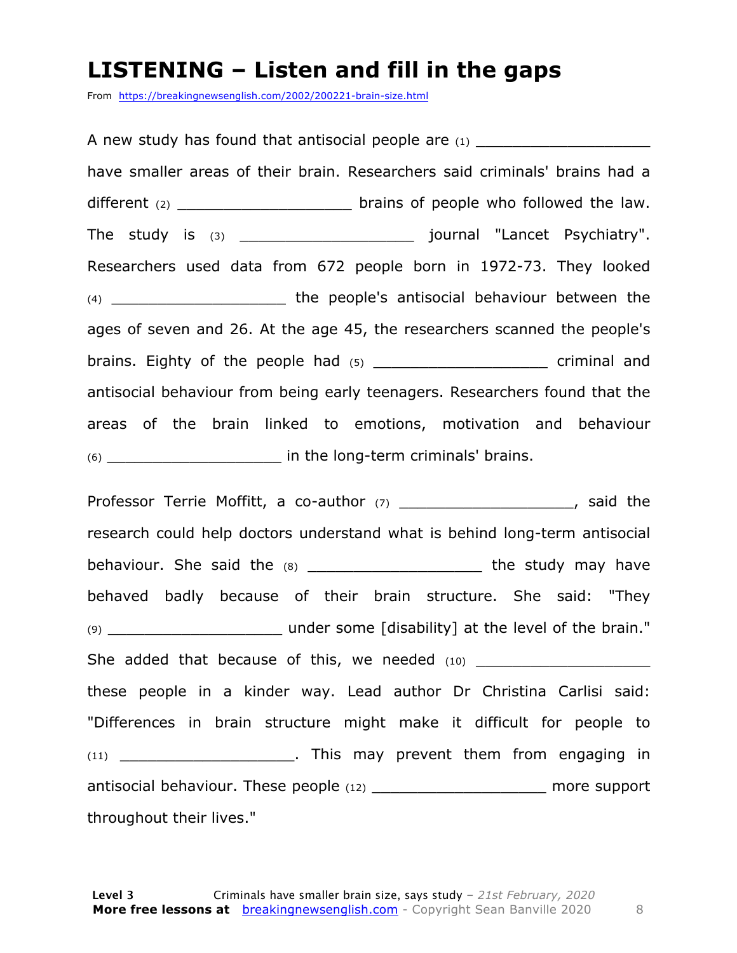#### **LISTENING – Listen and fill in the gaps**

From https://breakingnewsenglish.com/2002/200221-brain-size.html

A new study has found that antisocial people are  $(1)$ have smaller areas of their brain. Researchers said criminals' brains had a different  $(2)$  \_\_\_\_\_\_\_\_\_\_\_\_\_\_\_\_\_\_\_\_\_\_\_\_\_\_\_ brains of people who followed the law. The study is (3) \_\_\_\_\_\_\_\_\_\_\_\_\_\_\_\_\_\_\_ journal "Lancet Psychiatry". Researchers used data from 672 people born in 1972-73. They looked (4) **the people's antisocial behaviour between the** ages of seven and 26. At the age 45, the researchers scanned the people's brains. Eighty of the people had (5) \_\_\_\_\_\_\_\_\_\_\_\_\_\_\_\_\_\_\_\_\_\_ criminal and antisocial behaviour from being early teenagers. Researchers found that the areas of the brain linked to emotions, motivation and behaviour (6) \_\_\_\_\_\_\_\_\_\_\_\_\_\_\_\_\_\_\_ in the long-term criminals' brains.

Professor Terrie Moffitt, a co-author (7) \_\_\_\_\_\_\_\_\_\_\_\_\_\_\_\_\_\_\_\_\_\_\_, said the research could help doctors understand what is behind long-term antisocial behaviour. She said the  $(8)$  \_\_\_\_\_\_\_\_\_\_\_\_\_\_\_\_\_\_\_\_\_\_\_\_\_\_ the study may have behaved badly because of their brain structure. She said: "They (9) \_\_\_\_\_\_\_\_\_\_\_\_\_\_\_\_\_\_\_ under some [disability] at the level of the brain." She added that because of this, we needed (10) \_\_\_\_\_\_\_\_\_\_\_\_\_\_\_\_\_\_\_ these people in a kinder way. Lead author Dr Christina Carlisi said: "Differences in brain structure might make it difficult for people to (11) \_\_\_\_\_\_\_\_\_\_\_\_\_\_\_\_\_\_\_\_\_\_\_\_. This may prevent them from engaging in antisocial behaviour. These people (12) \_\_\_\_\_\_\_\_\_\_\_\_\_\_\_\_\_\_\_\_\_\_ more support throughout their lives."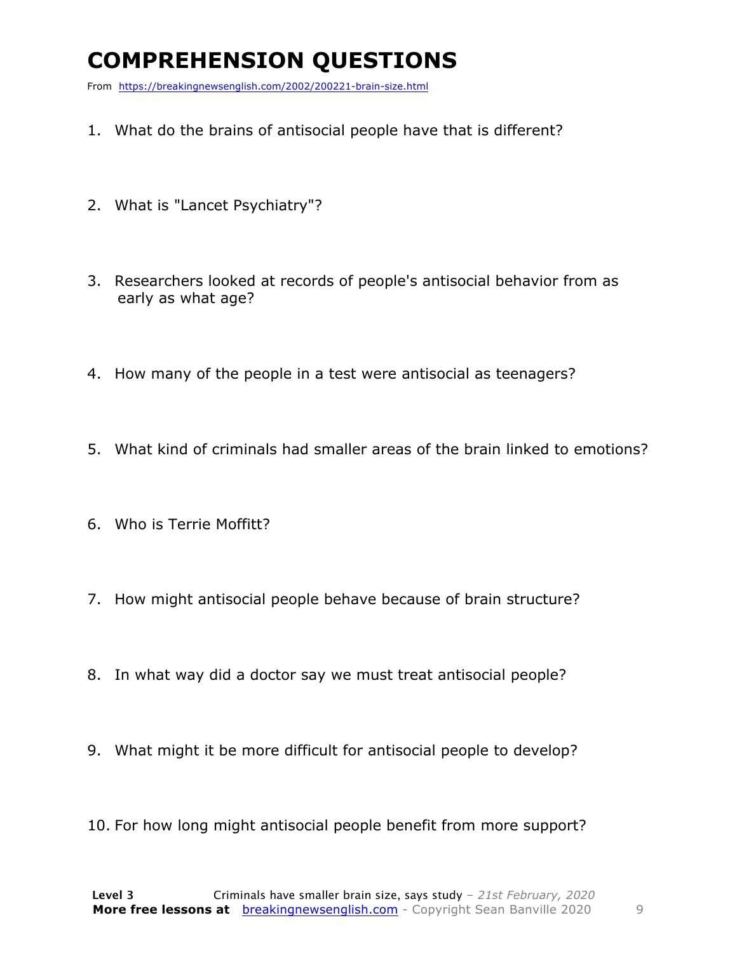### **COMPREHENSION QUESTIONS**

From https://breakingnewsenglish.com/2002/200221-brain-size.html

- 1. What do the brains of antisocial people have that is different?
- 2. What is "Lancet Psychiatry"?
- 3. Researchers looked at records of people's antisocial behavior from as early as what age?
- 4. How many of the people in a test were antisocial as teenagers?
- 5. What kind of criminals had smaller areas of the brain linked to emotions?
- 6. Who is Terrie Moffitt?
- 7. How might antisocial people behave because of brain structure?
- 8. In what way did a doctor say we must treat antisocial people?
- 9. What might it be more difficult for antisocial people to develop?
- 10. For how long might antisocial people benefit from more support?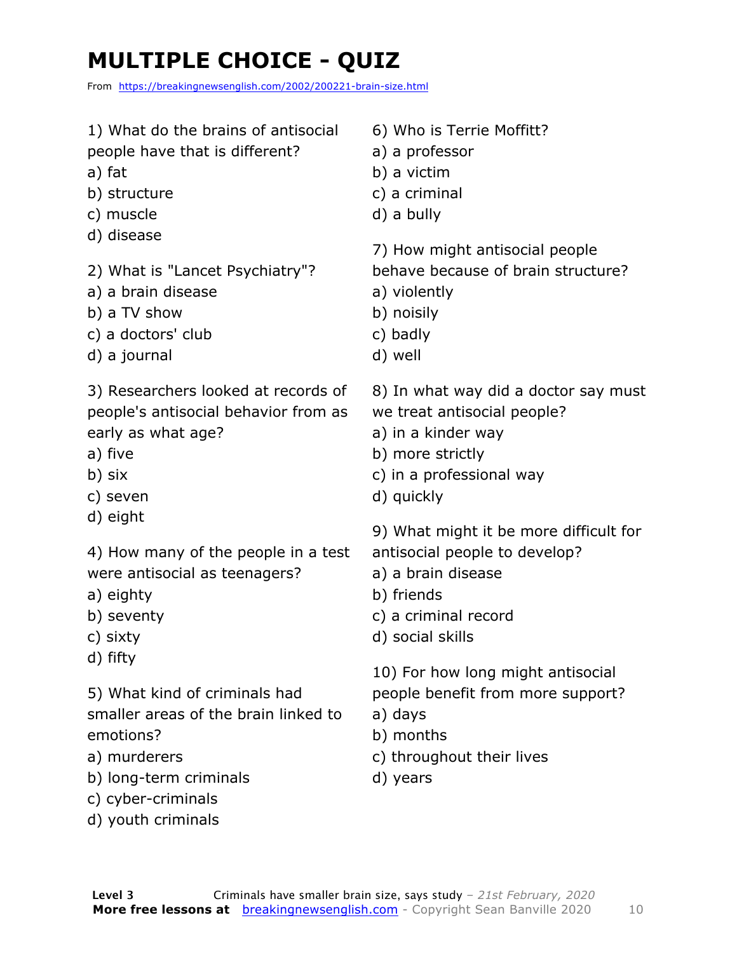### **MULTIPLE CHOICE - QUIZ**

From https://breakingnewsenglish.com/2002/200221-brain-size.html

| 1) What do the brains of antisocial<br>people have that is different?<br>a) fat<br>b) structure<br>c) muscle<br>d) disease<br>2) What is "Lancet Psychiatry"?<br>a) a brain disease<br>b) a TV show<br>c) a doctors' club<br>d) a journal                     | 6) Who is Terrie Moffitt?<br>a) a professor<br>b) a victim<br>c) a criminal<br>d) a bully                                                               |
|---------------------------------------------------------------------------------------------------------------------------------------------------------------------------------------------------------------------------------------------------------------|---------------------------------------------------------------------------------------------------------------------------------------------------------|
|                                                                                                                                                                                                                                                               | 7) How might antisocial people<br>behave because of brain structure?<br>a) violently<br>b) noisily<br>c) badly<br>d) well                               |
| 3) Researchers looked at records of<br>people's antisocial behavior from as<br>early as what age?<br>a) five<br>b) six<br>c) seven<br>d) eight<br>4) How many of the people in a test<br>were antisocial as teenagers?<br>a) eighty<br>b) seventy<br>c) sixty | 8) In what way did a doctor say must<br>we treat antisocial people?<br>a) in a kinder way<br>b) more strictly<br>c) in a professional way<br>d) quickly |
|                                                                                                                                                                                                                                                               | 9) What might it be more difficult for<br>antisocial people to develop?<br>a) a brain disease<br>b) friends<br>c) a criminal record<br>d) social skills |
| d) fifty<br>5) What kind of criminals had<br>smaller areas of the brain linked to<br>emotions?<br>a) murderers<br>b) long-term criminals<br>c) cyber-criminals<br>d) youth criminals                                                                          | 10) For how long might antisocial<br>people benefit from more support?<br>a) days<br>b) months<br>c) throughout their lives<br>d) years                 |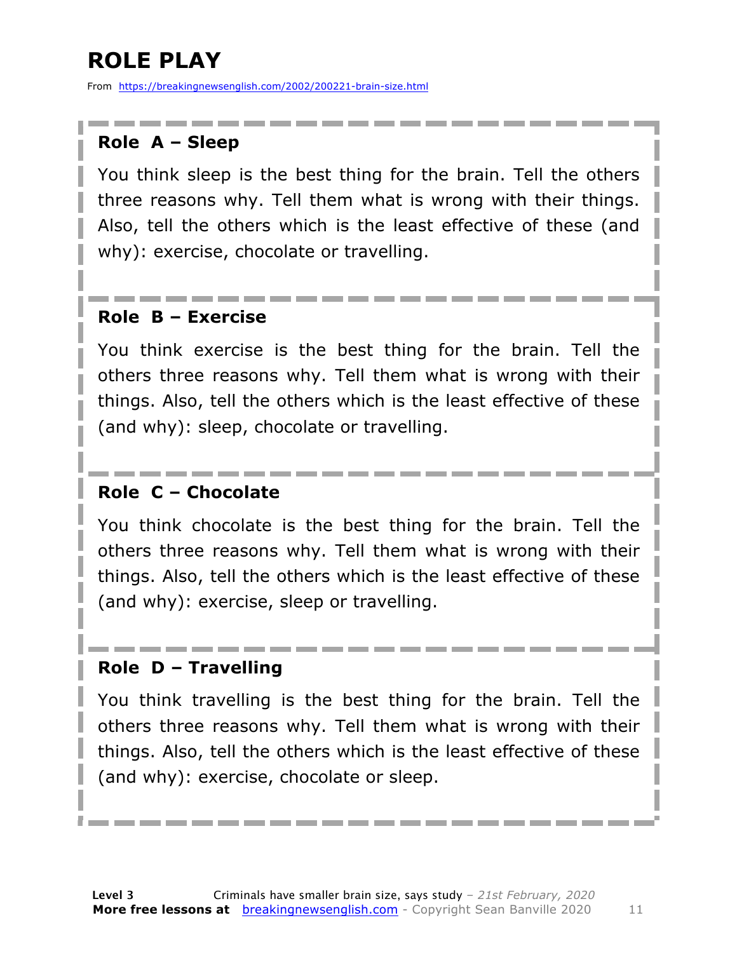### **ROLE PLAY**

From https://breakingnewsenglish.com/2002/200221-brain-size.html

#### **Role A – Sleep**

You think sleep is the best thing for the brain. Tell the others three reasons why. Tell them what is wrong with their things. Also, tell the others which is the least effective of these (and why): exercise, chocolate or travelling.

#### **Role B – Exercise**

You think exercise is the best thing for the brain. Tell the others three reasons why. Tell them what is wrong with their things. Also, tell the others which is the least effective of these (and why): sleep, chocolate or travelling.

#### **Role C – Chocolate**

You think chocolate is the best thing for the brain. Tell the others three reasons why. Tell them what is wrong with their things. Also, tell the others which is the least effective of these (and why): exercise, sleep or travelling.

#### **Role D – Travelling**

You think travelling is the best thing for the brain. Tell the others three reasons why. Tell them what is wrong with their things. Also, tell the others which is the least effective of these (and why): exercise, chocolate or sleep.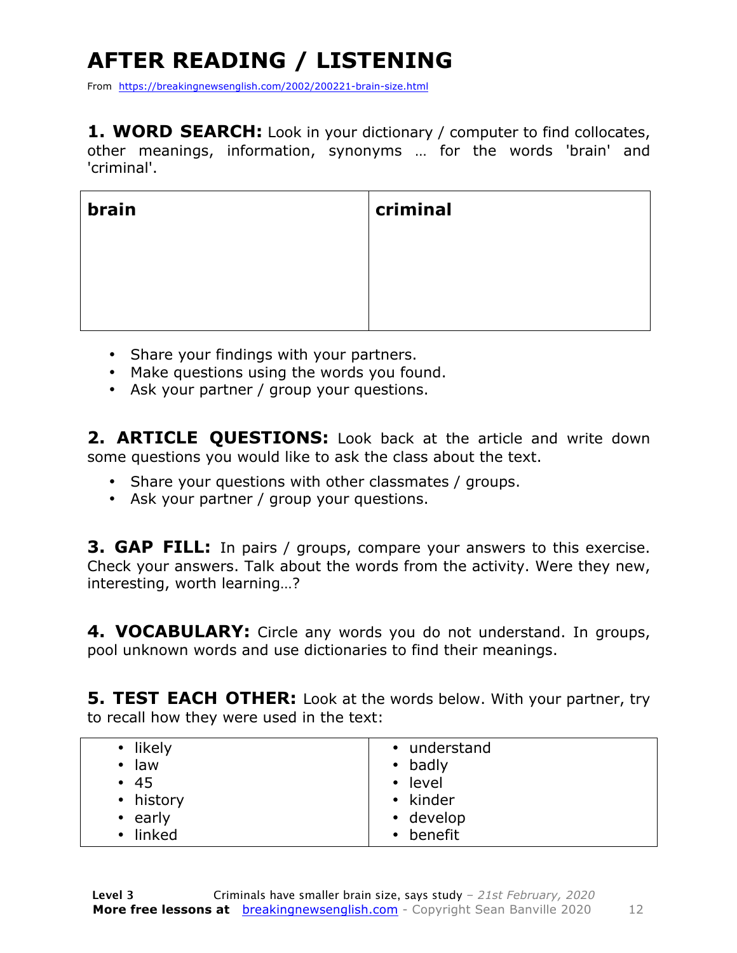## **AFTER READING / LISTENING**

From https://breakingnewsenglish.com/2002/200221-brain-size.html

**1. WORD SEARCH:** Look in your dictionary / computer to find collocates, other meanings, information, synonyms … for the words 'brain' and 'criminal'.

| brain | criminal |
|-------|----------|
|       |          |
|       |          |
|       |          |

- Share your findings with your partners.
- Make questions using the words you found.
- Ask your partner / group your questions.

**2. ARTICLE QUESTIONS:** Look back at the article and write down some questions you would like to ask the class about the text.

- Share your questions with other classmates / groups.
- Ask your partner / group your questions.

**3. GAP FILL:** In pairs / groups, compare your answers to this exercise. Check your answers. Talk about the words from the activity. Were they new, interesting, worth learning…?

**4. VOCABULARY:** Circle any words you do not understand. In groups, pool unknown words and use dictionaries to find their meanings.

**5. TEST EACH OTHER:** Look at the words below. With your partner, try to recall how they were used in the text:

| • likely<br>law<br>$\bullet$<br>• 45<br>• history<br>$\cdot$ early<br>• linked | • understand<br>• badly<br>• level<br>• kinder<br>• develop<br>• benefit |
|--------------------------------------------------------------------------------|--------------------------------------------------------------------------|
|                                                                                |                                                                          |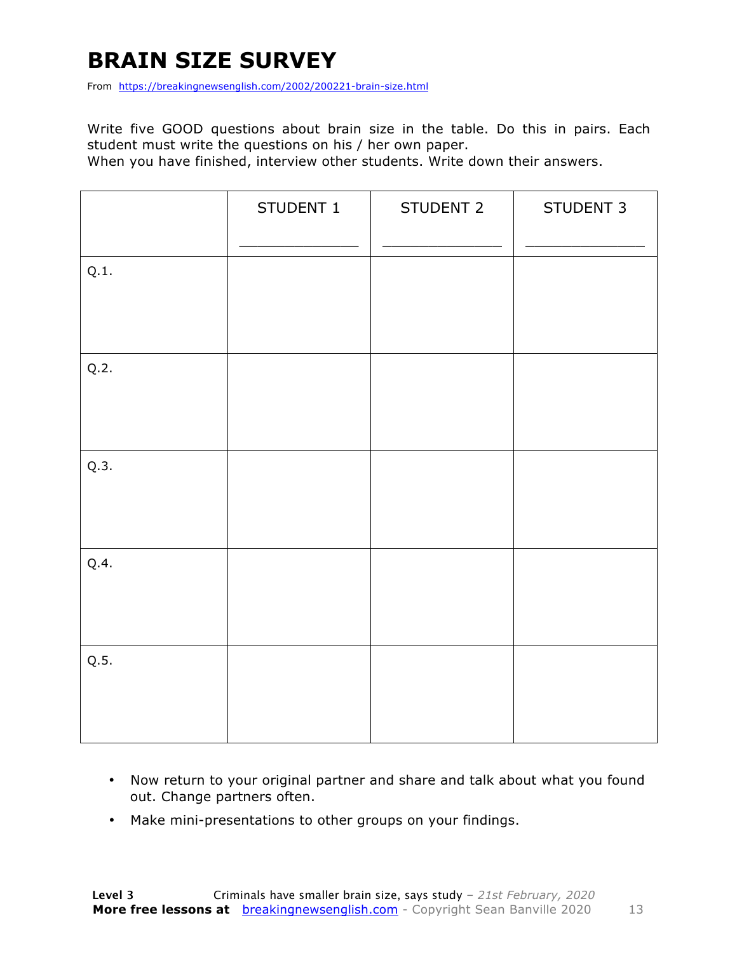### **BRAIN SIZE SURVEY**

From https://breakingnewsenglish.com/2002/200221-brain-size.html

Write five GOOD questions about brain size in the table. Do this in pairs. Each student must write the questions on his / her own paper.

When you have finished, interview other students. Write down their answers.

|      | STUDENT 1 | STUDENT 2 | STUDENT 3 |
|------|-----------|-----------|-----------|
| Q.1. |           |           |           |
| Q.2. |           |           |           |
| Q.3. |           |           |           |
| Q.4. |           |           |           |
| Q.5. |           |           |           |

- Now return to your original partner and share and talk about what you found out. Change partners often.
- Make mini-presentations to other groups on your findings.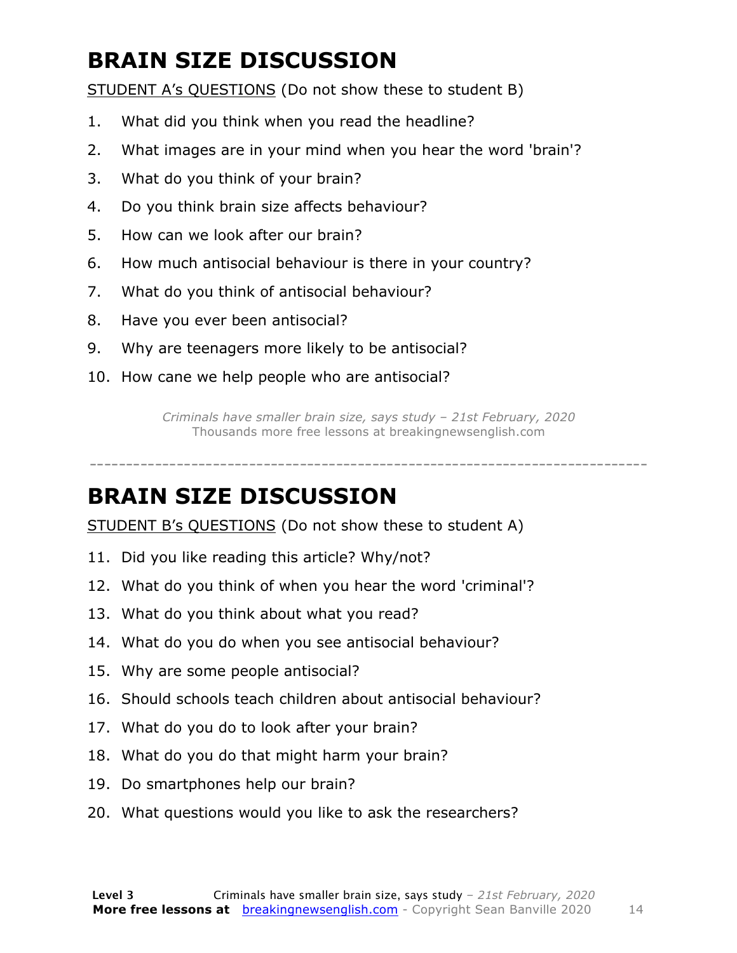### **BRAIN SIZE DISCUSSION**

STUDENT A's QUESTIONS (Do not show these to student B)

- 1. What did you think when you read the headline?
- 2. What images are in your mind when you hear the word 'brain'?
- 3. What do you think of your brain?
- 4. Do you think brain size affects behaviour?
- 5. How can we look after our brain?
- 6. How much antisocial behaviour is there in your country?
- 7. What do you think of antisocial behaviour?
- 8. Have you ever been antisocial?
- 9. Why are teenagers more likely to be antisocial?
- 10. How cane we help people who are antisocial?

*Criminals have smaller brain size, says study – 21st February, 2020* Thousands more free lessons at breakingnewsenglish.com

-----------------------------------------------------------------------------

#### **BRAIN SIZE DISCUSSION**

STUDENT B's QUESTIONS (Do not show these to student A)

- 11. Did you like reading this article? Why/not?
- 12. What do you think of when you hear the word 'criminal'?
- 13. What do you think about what you read?
- 14. What do you do when you see antisocial behaviour?
- 15. Why are some people antisocial?
- 16. Should schools teach children about antisocial behaviour?
- 17. What do you do to look after your brain?
- 18. What do you do that might harm your brain?
- 19. Do smartphones help our brain?
- 20. What questions would you like to ask the researchers?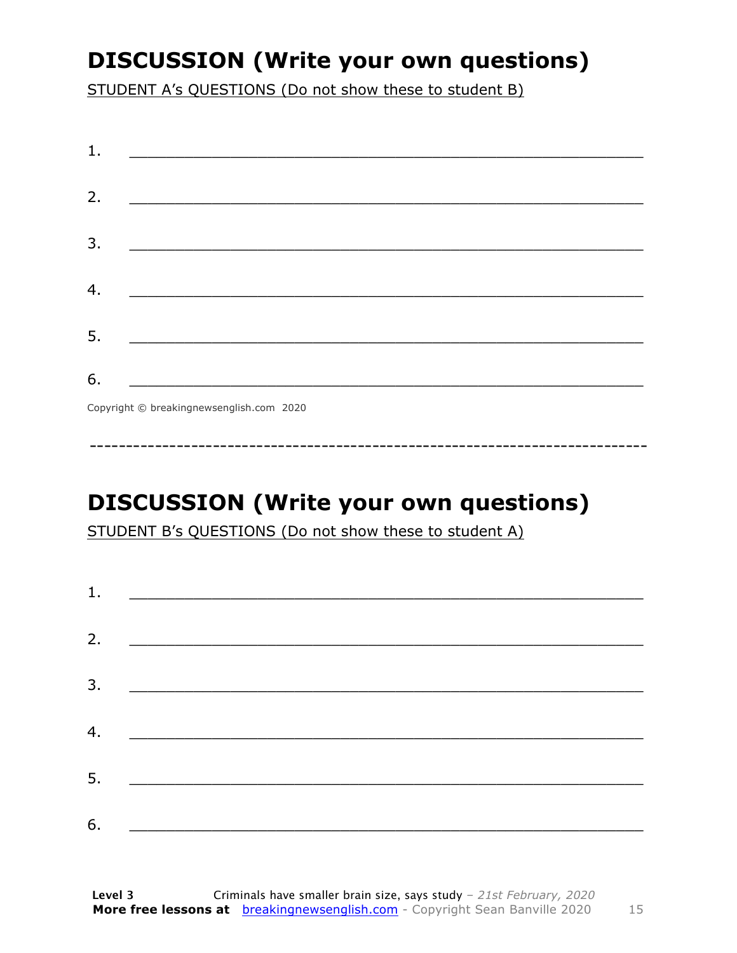### **DISCUSSION (Write your own questions)**

STUDENT A's QUESTIONS (Do not show these to student B)

| 1. |                                           |
|----|-------------------------------------------|
|    |                                           |
| 2. |                                           |
|    |                                           |
| 3. |                                           |
|    |                                           |
| 4. |                                           |
|    |                                           |
| 5. |                                           |
|    |                                           |
| 6. |                                           |
|    | Convright © breaking newsenglish com 2020 |

Copyright © breakingnewsenglish.com 2020

### **DISCUSSION (Write your own questions)**

STUDENT B's QUESTIONS (Do not show these to student A)

| 1. |                                                                                                                         |  |  |
|----|-------------------------------------------------------------------------------------------------------------------------|--|--|
|    |                                                                                                                         |  |  |
| 2. | <u> 1980 - Andrea Stationer, fransk politiker (d. 1980)</u>                                                             |  |  |
| 3. |                                                                                                                         |  |  |
|    |                                                                                                                         |  |  |
| 4. | <u> 1980 - Jan Samuel Barbara, margaret eta idazlea (h. 1980).</u>                                                      |  |  |
| 5. | <u> 1986 - Johann Stoff, deutscher Stoffen und der Stoffen und der Stoffen und der Stoffen und der Stoffen und der </u> |  |  |
|    |                                                                                                                         |  |  |
| 6. | <u> 1989 - Johann John Stone, market fan it ferskearre fan it ferskearre fan it ferskearre fan it ferskearre fan i</u>  |  |  |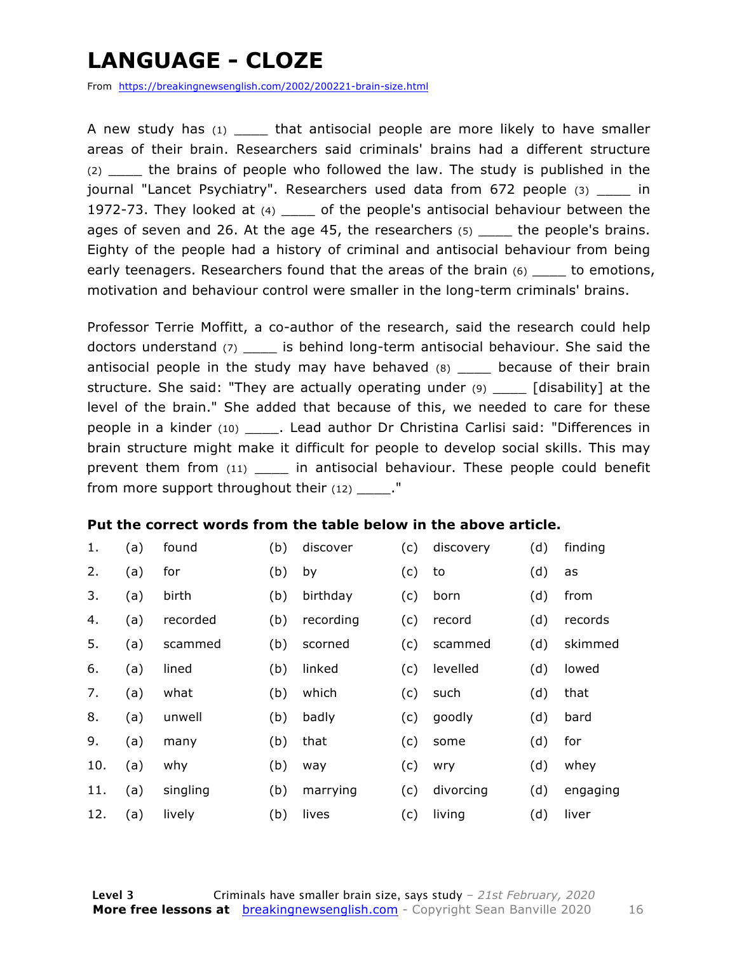### **LANGUAGE - CLOZE**

From https://breakingnewsenglish.com/2002/200221-brain-size.html

A new study has  $(1)$  that antisocial people are more likely to have smaller areas of their brain. Researchers said criminals' brains had a different structure (2) \_\_\_\_ the brains of people who followed the law. The study is published in the journal "Lancet Psychiatry". Researchers used data from 672 people (3) \_\_\_\_ in 1972-73. They looked at (4) \_\_\_\_ of the people's antisocial behaviour between the ages of seven and 26. At the age 45, the researchers  $(5)$  the people's brains. Eighty of the people had a history of criminal and antisocial behaviour from being early teenagers. Researchers found that the areas of the brain  $(6)$  sound to emotions, motivation and behaviour control were smaller in the long-term criminals' brains.

Professor Terrie Moffitt, a co-author of the research, said the research could help doctors understand (7) \_\_\_\_ is behind long-term antisocial behaviour. She said the antisocial people in the study may have behaved (8) \_\_\_\_ because of their brain structure. She said: "They are actually operating under (9) \_\_\_\_ [disability] at the level of the brain." She added that because of this, we needed to care for these people in a kinder (10) \_\_\_\_. Lead author Dr Christina Carlisi said: "Differences in brain structure might make it difficult for people to develop social skills. This may prevent them from (11) \_\_\_\_ in antisocial behaviour. These people could benefit from more support throughout their  $(12)$  ."

#### **Put the correct words from the table below in the above article.**

| 1.  | (a) | found    | (b) | discover  | (c) | discovery | (d) | finding  |
|-----|-----|----------|-----|-----------|-----|-----------|-----|----------|
| 2.  | (a) | for      | (b) | by        | (c) | to        | (d) | as       |
| 3.  | (a) | birth    | (b) | birthday  | (c) | born      | (d) | from     |
| 4.  | (a) | recorded | (b) | recording | (c) | record    | (d) | records  |
| 5.  | (a) | scammed  | (b) | scorned   | (c) | scammed   | (d) | skimmed  |
| 6.  | (a) | lined    | (b) | linked    | (c) | levelled  | (d) | lowed    |
| 7.  | (a) | what     | (b) | which     | (c) | such      | (d) | that     |
| 8.  | (a) | unwell   | (b) | badly     | (c) | goodly    | (d) | bard     |
| 9.  | (a) | many     | (b) | that      | (c) | some      | (d) | for      |
| 10. | (a) | why      | (b) | way       | (c) | wry       | (d) | whey     |
| 11. | (a) | singling | (b) | marrying  | (c) | divorcing | (d) | engaging |
| 12. | (a) | lively   | (b) | lives     | (c) | living    | (d) | liver    |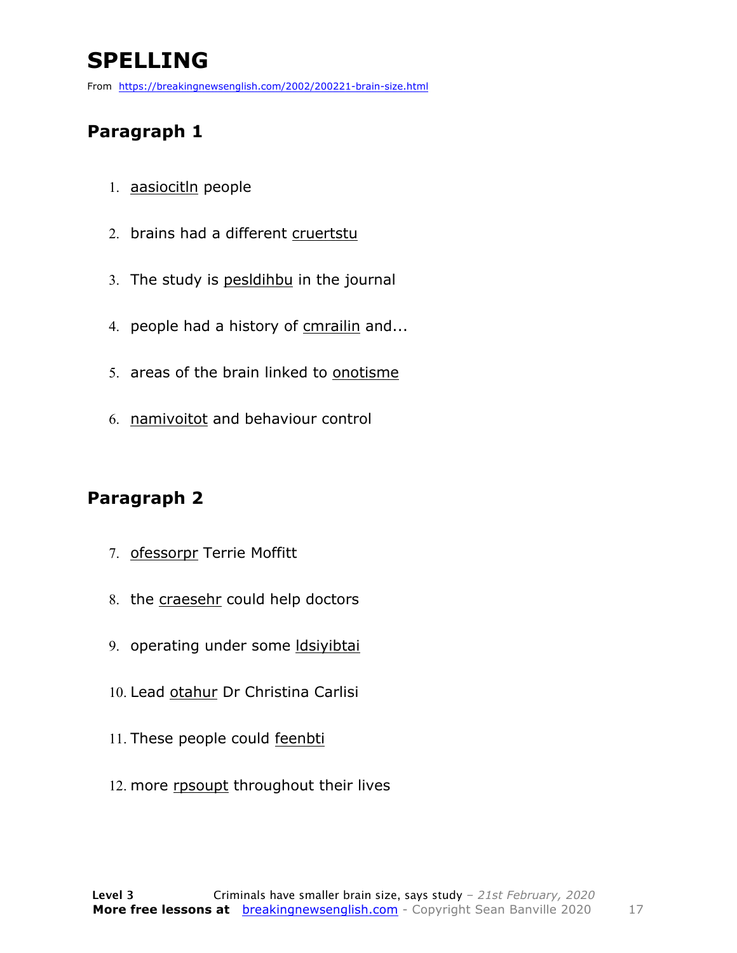### **SPELLING**

From https://breakingnewsenglish.com/2002/200221-brain-size.html

#### **Paragraph 1**

- 1. aasiocitln people
- 2. brains had a different cruertstu
- 3. The study is pesldihbu in the journal
- 4. people had a history of cmrailin and...
- 5. areas of the brain linked to onotisme
- 6. namivoitot and behaviour control

#### **Paragraph 2**

- 7. ofessorpr Terrie Moffitt
- 8. the craesehr could help doctors
- 9. operating under some ldsiyibtai
- 10. Lead otahur Dr Christina Carlisi
- 11. These people could feenbti
- 12. more rpsoupt throughout their lives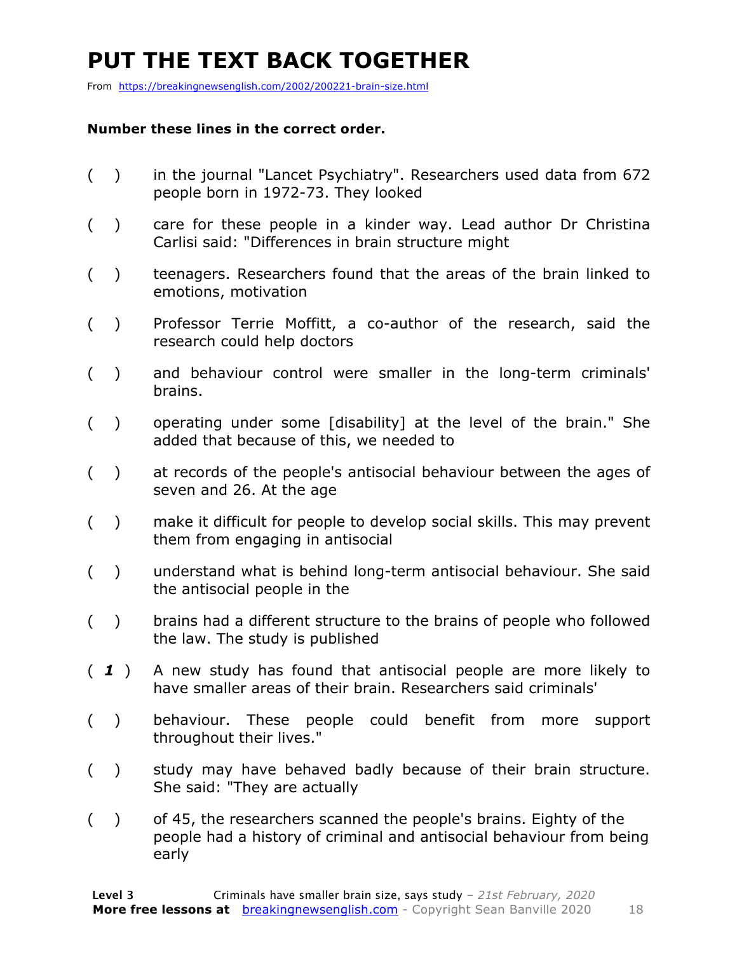### **PUT THE TEXT BACK TOGETHER**

From https://breakingnewsenglish.com/2002/200221-brain-size.html

#### **Number these lines in the correct order.**

- ( ) in the journal "Lancet Psychiatry". Researchers used data from 672 people born in 1972-73. They looked
- ( ) care for these people in a kinder way. Lead author Dr Christina Carlisi said: "Differences in brain structure might
- ( ) teenagers. Researchers found that the areas of the brain linked to emotions, motivation
- ( ) Professor Terrie Moffitt, a co-author of the research, said the research could help doctors
- ( ) and behaviour control were smaller in the long-term criminals' brains.
- ( ) operating under some [disability] at the level of the brain." She added that because of this, we needed to
- ( ) at records of the people's antisocial behaviour between the ages of seven and 26. At the age
- ( ) make it difficult for people to develop social skills. This may prevent them from engaging in antisocial
- ( ) understand what is behind long-term antisocial behaviour. She said the antisocial people in the
- ( ) brains had a different structure to the brains of people who followed the law. The study is published
- ( *1* ) A new study has found that antisocial people are more likely to have smaller areas of their brain. Researchers said criminals'
- ( ) behaviour. These people could benefit from more support throughout their lives."
- ( ) study may have behaved badly because of their brain structure. She said: "They are actually
- ( ) of 45, the researchers scanned the people's brains. Eighty of the people had a history of criminal and antisocial behaviour from being early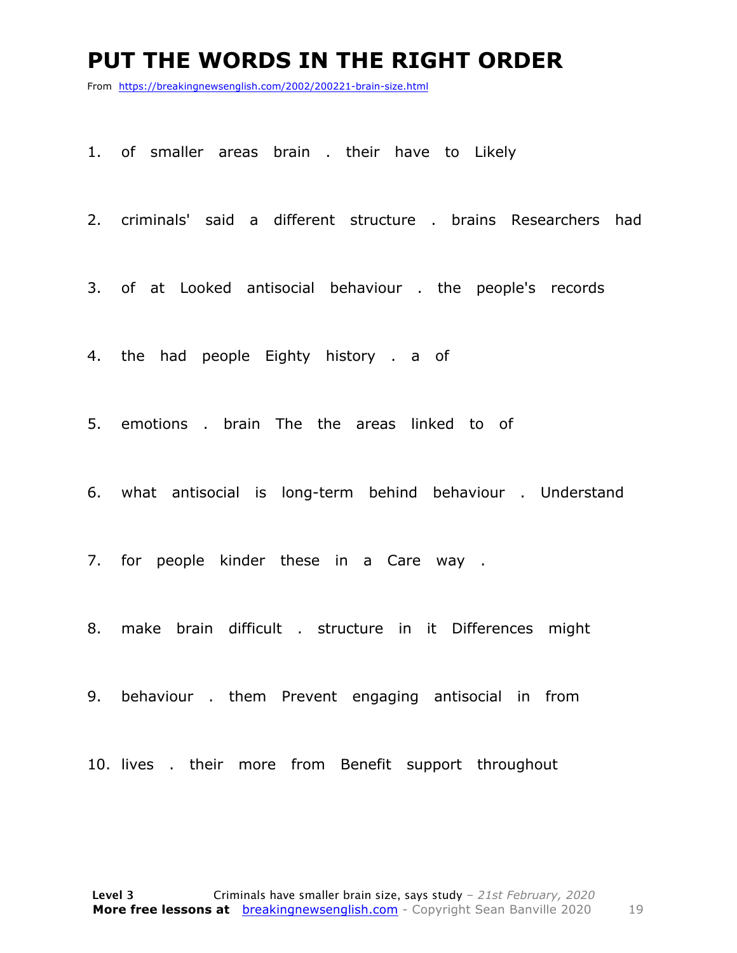#### **PUT THE WORDS IN THE RIGHT ORDER**

From https://breakingnewsenglish.com/2002/200221-brain-size.html

1. of smaller areas brain . their have to Likely

2. criminals' said a different structure . brains Researchers had

3. of at Looked antisocial behaviour . the people's records

4. the had people Eighty history . a of

5. emotions . brain The the areas linked to of

6. what antisocial is long-term behind behaviour . Understand

7. for people kinder these in a Care way .

8. make brain difficult . structure in it Differences might

9. behaviour . them Prevent engaging antisocial in from

10. lives . their more from Benefit support throughout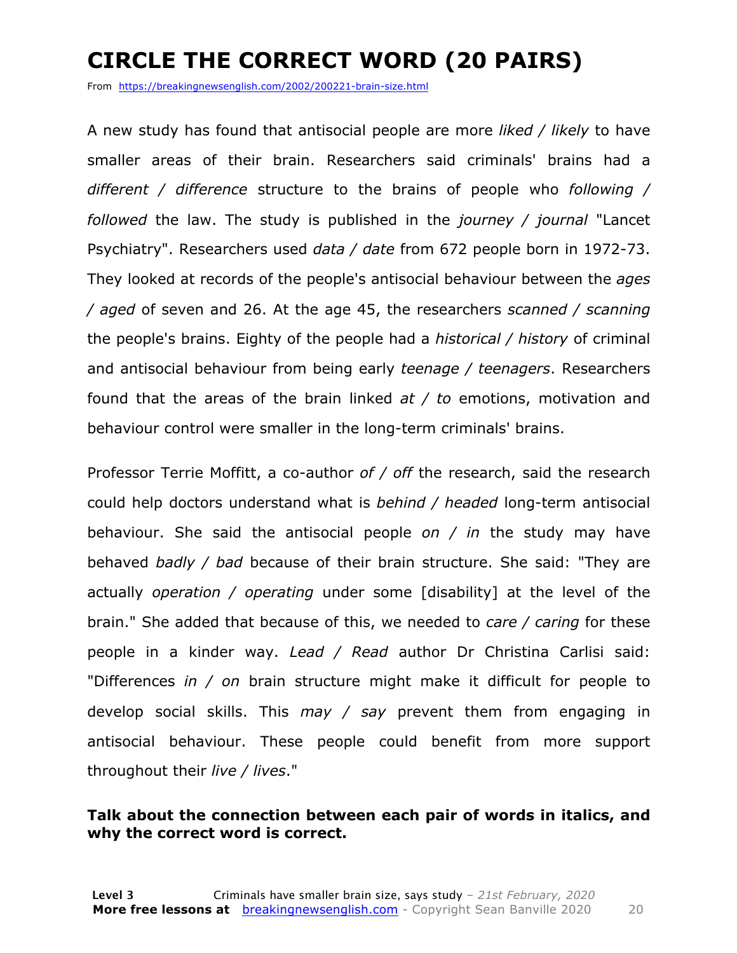### **CIRCLE THE CORRECT WORD (20 PAIRS)**

From https://breakingnewsenglish.com/2002/200221-brain-size.html

A new study has found that antisocial people are more *liked / likely* to have smaller areas of their brain. Researchers said criminals' brains had a *different / difference* structure to the brains of people who *following / followed* the law. The study is published in the *journey / journal* "Lancet Psychiatry". Researchers used *data / date* from 672 people born in 1972-73. They looked at records of the people's antisocial behaviour between the *ages / aged* of seven and 26. At the age 45, the researchers *scanned / scanning* the people's brains. Eighty of the people had a *historical / history* of criminal and antisocial behaviour from being early *teenage / teenagers*. Researchers found that the areas of the brain linked *at / to* emotions, motivation and behaviour control were smaller in the long-term criminals' brains.

Professor Terrie Moffitt, a co-author *of / off* the research, said the research could help doctors understand what is *behind / headed* long-term antisocial behaviour. She said the antisocial people *on / in* the study may have behaved *badly / bad* because of their brain structure. She said: "They are actually *operation / operating* under some [disability] at the level of the brain." She added that because of this, we needed to *care / caring* for these people in a kinder way. *Lead / Read* author Dr Christina Carlisi said: "Differences *in / on* brain structure might make it difficult for people to develop social skills. This *may / say* prevent them from engaging in antisocial behaviour. These people could benefit from more support throughout their *live / lives*."

#### **Talk about the connection between each pair of words in italics, and why the correct word is correct.**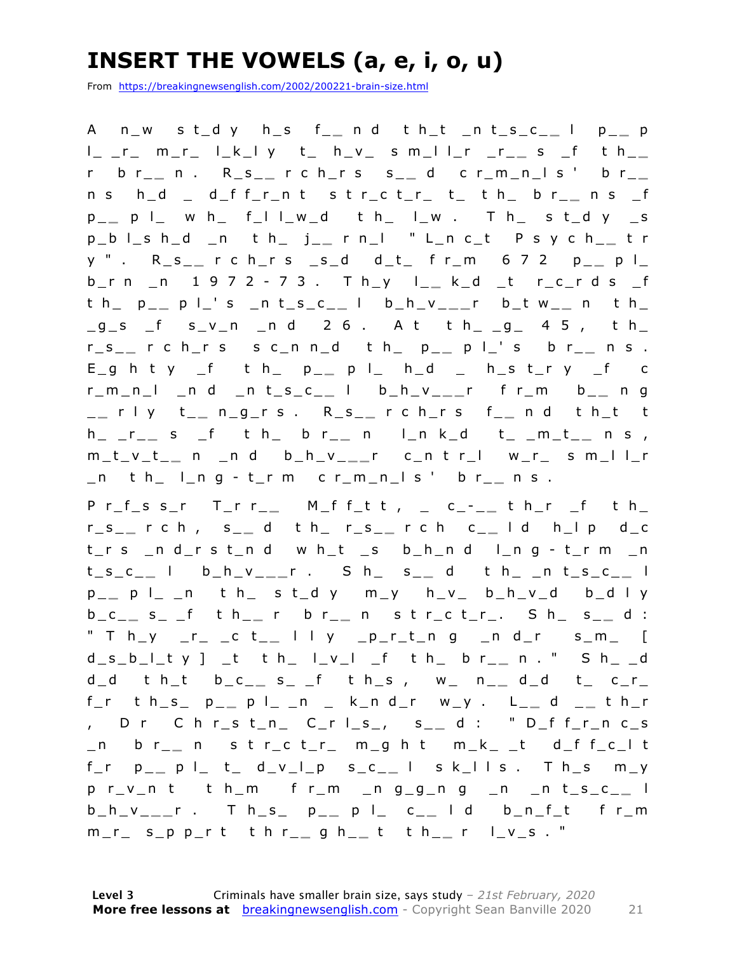### **INSERT THE VOWELS (a, e, i, o, u)**

From https://breakingnewsenglish.com/2002/200221-brain-size.html

A n\_w s t\_d y h\_s f\_ **\_** n d t h\_t \_n t\_s\_c\_ **\_** l p\_ **\_** p l\_ \_r\_ m\_r\_ l\_k\_l y t\_ h\_v\_ s m\_l l\_r \_r\_ **\_** s \_f t h\_ **\_**  r b r\_ **\_** n . R\_s\_ **\_** r c h\_r s s\_ **\_** d c r\_m\_n\_l s ' b r\_ **\_**  n s h\_d \_ d\_f f\_r\_n t s t r\_c t\_r\_ t\_ t h\_ b r\_ **\_** n s \_f p \_ **\_** p l\_ w h\_ f\_l l\_w\_d t h\_ l\_w . T h\_ s t\_d y \_s p\_b l\_s h\_d \_n t h\_ j\_ **\_** r n\_l " L\_n c\_t P s y c h\_ **\_** t r y " . R\_s\_ **\_** r c h\_r s \_s\_d d\_t\_ f r\_m 6 7 2 p\_ **\_** p l\_ b\_r n \_n 1 9 7 2 - 7 3 . T h\_y l\_ **\_** k\_d \_t r\_c\_r d s \_f t h\_ p\_ **\_** p l\_' s \_n t\_s\_c\_ **\_** l b\_h\_v\_ **\_ \_** r b\_t w\_ **\_** n t h\_  $-g$  s f svn nd 26. At th  $-g$  45, th r\_s\_ **\_** r c h\_r s s c\_n n\_d t h\_ p\_ **\_** p l\_' s b r\_ **\_** n s .  $E_g$  h t y \_f t h\_ p\_\_ p l\_ h\_d \_ h\_s t\_r y \_f c r\_m\_n\_l \_n d \_n t\_s\_c\_ **\_** l b\_h\_v\_ **\_ \_** r f r\_m b\_ **\_** n g \_ **\_** r l y t\_ **\_** n\_g\_r s . R\_s\_ **\_** r c h\_r s f\_ **\_** n d t h\_t t h\_ \_r\_ **\_** s \_f t h\_ b r\_ **\_** n l\_n k\_d t\_ \_m\_t\_ **\_** n s , m\_t\_v\_t\_ **\_** n \_n d b\_h\_v\_ **\_ \_** r c\_n t r\_l w\_r\_ s m\_l l\_r \_n t h\_ l\_n g - t\_r m c r\_m\_n\_l s ' b r\_ **\_** n s .

P r\_f\_s s\_r T\_r r\_\_ M\_f f\_t t , \_ c\_-\_\_ t h\_r \_f t h\_ r\_s\_ **\_** r c h , s\_ **\_** d t h\_ r\_s\_ **\_** r c h c\_ **\_** l d h\_l p d\_c t\_r s \_n d\_r s t \_n d w h\_t \_s b\_h\_n d l\_n g - t\_r m \_n t\_s\_c\_ **\_** l b\_h\_v\_ **\_ \_** r . S h\_ s\_ **\_** d t h\_ \_n t\_s\_c\_ **\_** l p \_ **\_** p l\_ \_n t h\_ s t\_d y m\_y h\_v\_ b\_h\_v\_d b\_d l y b\_c\_ **\_** s\_ \_f t h\_ **\_** r b r\_ **\_** n s t r\_c t\_r\_. S h\_ s\_ **\_** d : " T h\_y \_r\_ \_c t\_ **\_** l l y \_p\_r\_t\_n g \_n d\_r s\_m\_ [ d\_s\_b\_l\_t y ] \_t t h\_ l\_v\_l \_f t h\_ b r\_ **\_** n . " S h\_ \_d d\_d t h\_t b\_c\_ **\_** s\_ \_f t h\_s , w\_ n\_ **\_** d\_d t\_ c\_r\_ f\_r t h\_s\_ p\_ **\_** p l\_ \_n \_ k\_n d\_r w\_y . L\_ **\_** d \_ **\_** t h\_r , D r C h r\_s t\_n\_ C\_r l \_s\_, s\_ **\_** d : " D\_f f\_r\_n c\_s \_n b r\_ **\_** n s t r\_c t\_r\_ m\_g h t m\_k\_ \_t d\_f f\_c\_l t f\_r p\_ **\_** p l\_ t\_ d\_v\_l\_p s\_c\_ **\_** l s k\_l l s . T h\_s m\_y p r\_v\_n t t h\_m f r\_m \_n g\_g\_n g \_n \_n t\_s\_c\_ **\_** l b\_h\_v\_ **\_ \_** r . T h\_s\_ p\_ **\_** p l\_ c \_ **\_** l d b\_n\_f\_t f r\_m m\_r\_ s\_p p\_r t t h r\_ **\_** g h\_ **\_** t t h\_ **\_** r l\_v\_s . "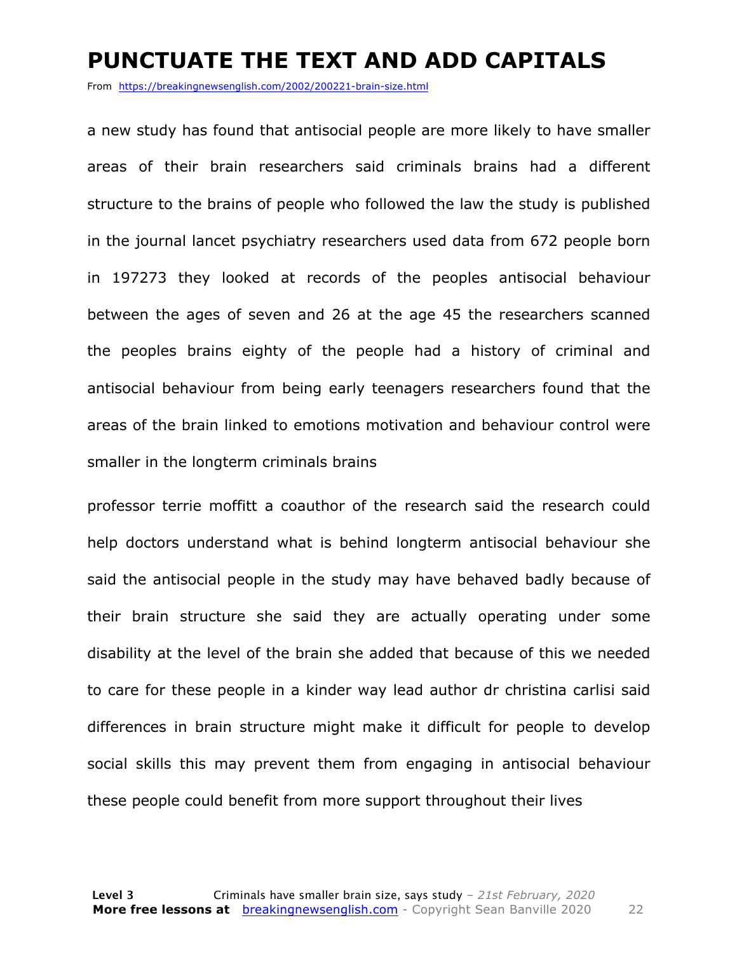#### **PUNCTUATE THE TEXT AND ADD CAPITALS**

From https://breakingnewsenglish.com/2002/200221-brain-size.html

a new study has found that antisocial people are more likely to have smaller areas of their brain researchers said criminals brains had a different structure to the brains of people who followed the law the study is published in the journal lancet psychiatry researchers used data from 672 people born in 197273 they looked at records of the peoples antisocial behaviour between the ages of seven and 26 at the age 45 the researchers scanned the peoples brains eighty of the people had a history of criminal and antisocial behaviour from being early teenagers researchers found that the areas of the brain linked to emotions motivation and behaviour control were smaller in the longterm criminals brains

professor terrie moffitt a coauthor of the research said the research could help doctors understand what is behind longterm antisocial behaviour she said the antisocial people in the study may have behaved badly because of their brain structure she said they are actually operating under some disability at the level of the brain she added that because of this we needed to care for these people in a kinder way lead author dr christina carlisi said differences in brain structure might make it difficult for people to develop social skills this may prevent them from engaging in antisocial behaviour these people could benefit from more support throughout their lives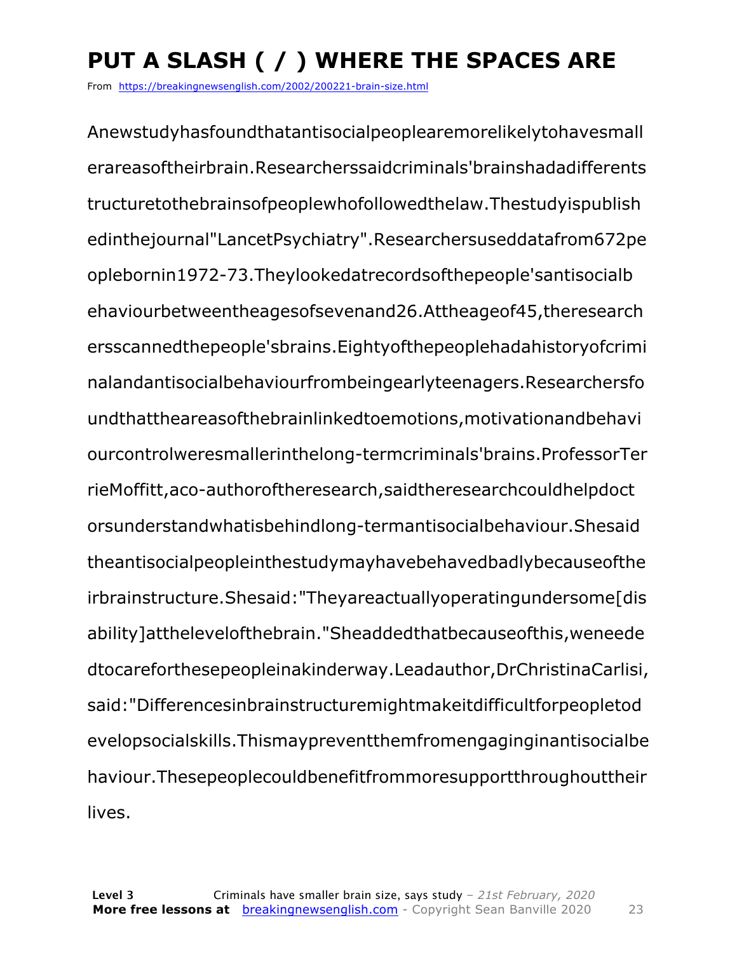## **PUT A SLASH ( / ) WHERE THE SPACES ARE**

From https://breakingnewsenglish.com/2002/200221-brain-size.html

Anewstudyhasfoundthatantisocialpeoplearemorelikelytohavesmall erareasoftheirbrain.Researcherssaidcriminals'brainshadadifferents tructuretothebrainsofpeoplewhofollowedthelaw.Thestudyispublish edinthejournal"LancetPsychiatry".Researchersuseddatafrom672pe oplebornin1972-73.Theylookedatrecordsofthepeople'santisocialb ehaviourbetweentheagesofsevenand26.Attheageof45,theresearch ersscannedthepeople'sbrains.Eightyofthepeoplehadahistoryofcrimi nalandantisocialbehaviourfrombeingearlyteenagers.Researchersfo undthattheareasofthebrainlinkedtoemotions,motivationandbehavi ourcontrolweresmallerinthelong-termcriminals'brains.ProfessorTer rieMoffitt,aco-authoroftheresearch,saidtheresearchcouldhelpdoct orsunderstandwhatisbehindlong-termantisocialbehaviour.Shesaid theantisocialpeopleinthestudymayhavebehavedbadlybecauseofthe irbrainstructure.Shesaid: "Theyareactuallyoperatingundersome[dis ability]atthelevelofthebrain."Sheaddedthatbecauseofthis,weneede dtocareforthesepeopleinakinderway.Leadauthor,DrChristinaCarlisi, said:"Differencesinbrainstructuremightmakeitdifficultforpeopletod evelopsocialskills.Thismaypreventthemfromengaginginantisocialbe haviour.Thesepeoplecouldbenefitfrommoresupportthroughouttheir lives.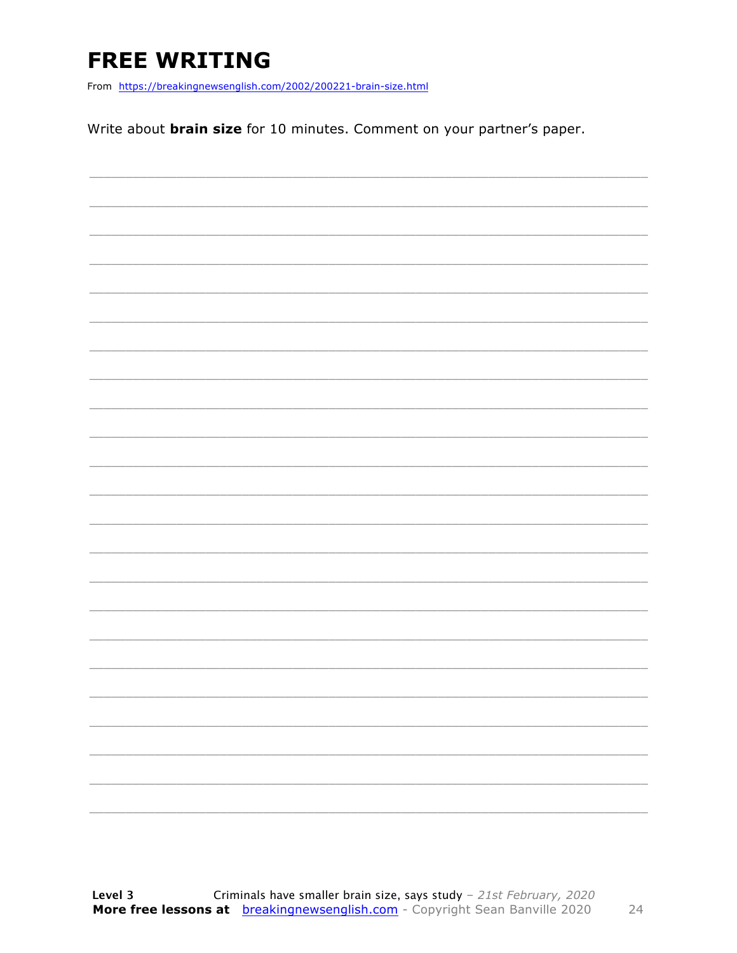### **FREE WRITING**

From https://breakingnewsenglish.com/2002/200221-brain-size.html

Write about **brain size** for 10 minutes. Comment on your partner's paper.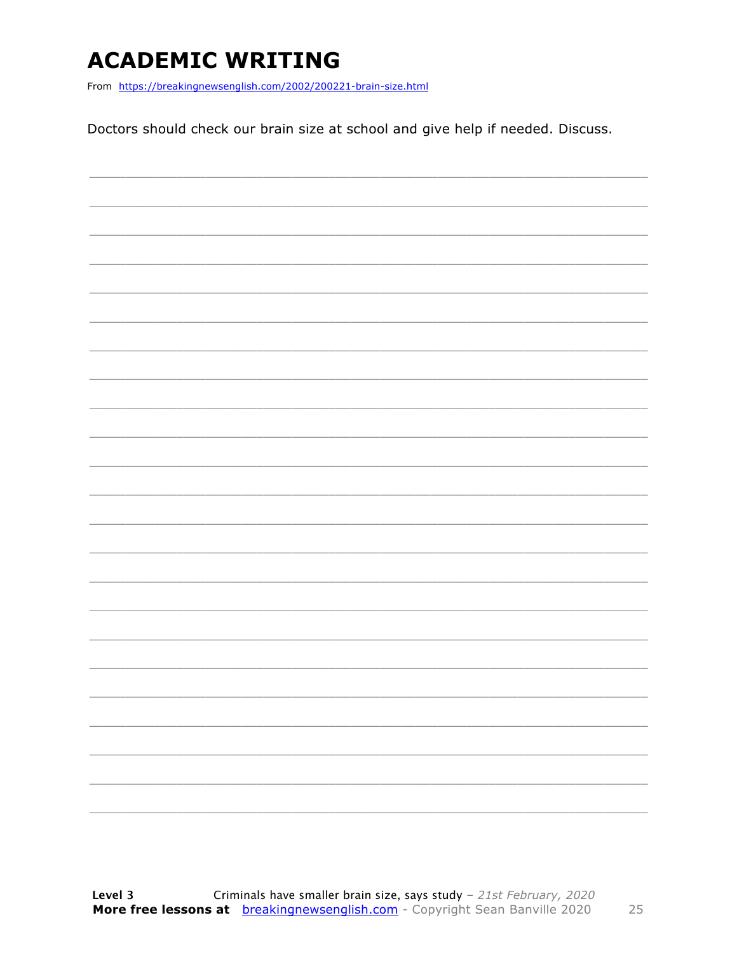### **ACADEMIC WRITING**

From https://breakingnewsenglish.com/2002/200221-brain-size.html

Doctors should check our brain size at school and give help if needed. Discuss.

|  | - |
|--|---|
|  | - |
|  |   |
|  |   |
|  |   |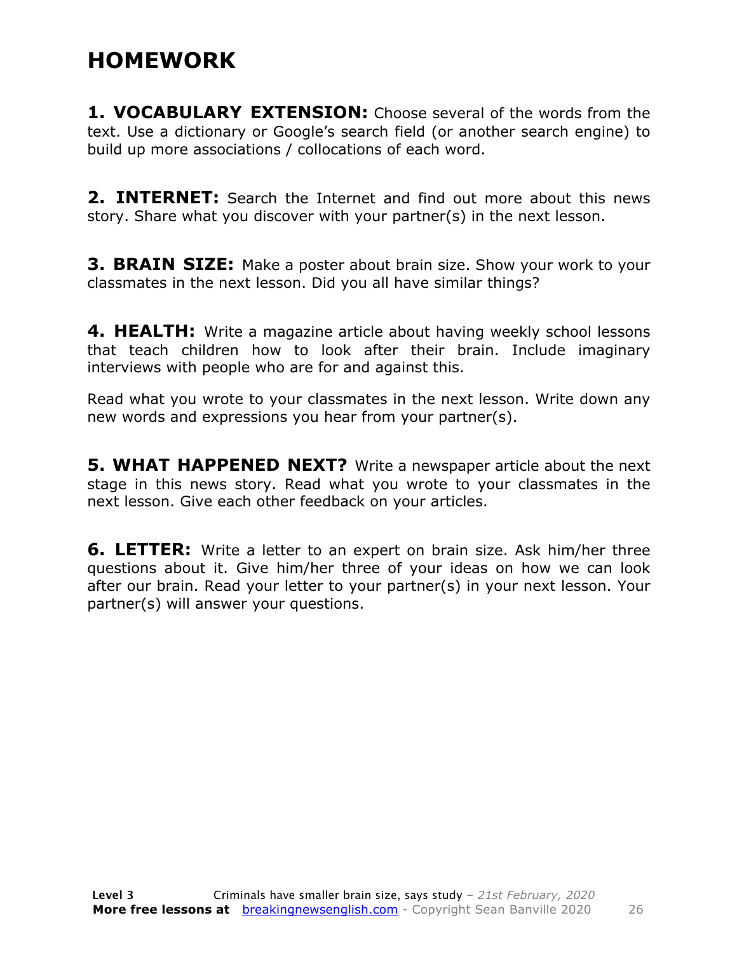#### **HOMEWORK**

**1. VOCABULARY EXTENSION:** Choose several of the words from the text. Use a dictionary or Google's search field (or another search engine) to build up more associations / collocations of each word.

**2. INTERNET:** Search the Internet and find out more about this news story. Share what you discover with your partner(s) in the next lesson.

**3. BRAIN SIZE:** Make a poster about brain size. Show your work to your classmates in the next lesson. Did you all have similar things?

**4. HEALTH:** Write a magazine article about having weekly school lessons that teach children how to look after their brain. Include imaginary interviews with people who are for and against this.

Read what you wrote to your classmates in the next lesson. Write down any new words and expressions you hear from your partner(s).

**5. WHAT HAPPENED NEXT?** Write a newspaper article about the next stage in this news story. Read what you wrote to your classmates in the next lesson. Give each other feedback on your articles.

**6. LETTER:** Write a letter to an expert on brain size. Ask him/her three questions about it. Give him/her three of your ideas on how we can look after our brain. Read your letter to your partner(s) in your next lesson. Your partner(s) will answer your questions.